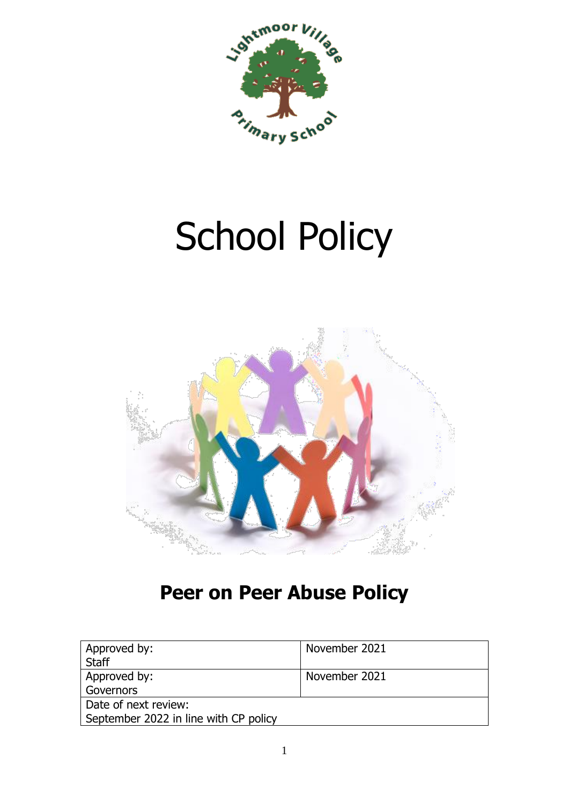

# School Policy



## **Peer on Peer Abuse Policy**

| Approved by:<br><b>Staff</b>                                  | November 2021 |
|---------------------------------------------------------------|---------------|
| Approved by:<br>Governors                                     | November 2021 |
| Date of next review:<br>September 2022 in line with CP policy |               |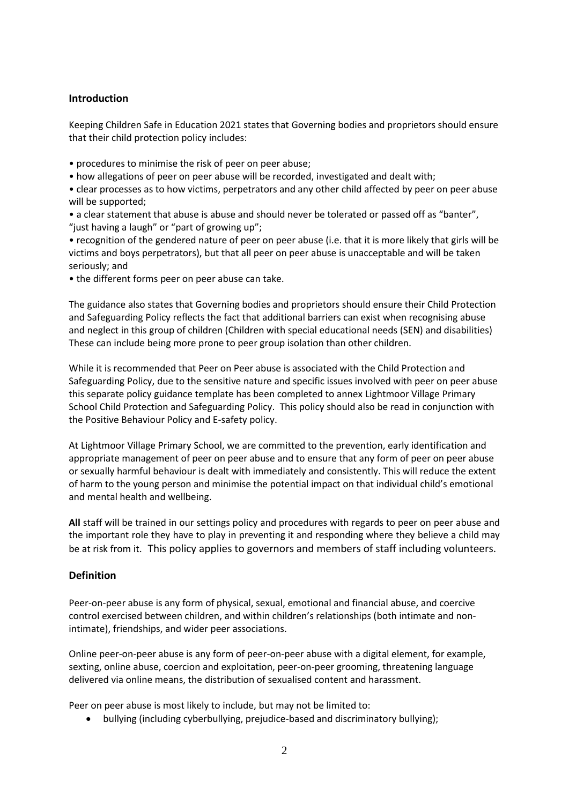#### **Introduction**

Keeping Children Safe in Education 2021 states that Governing bodies and proprietors should ensure that their child protection policy includes:

- procedures to minimise the risk of peer on peer abuse;
- how allegations of peer on peer abuse will be recorded, investigated and dealt with;
- clear processes as to how victims, perpetrators and any other child affected by peer on peer abuse will be supported;
- a clear statement that abuse is abuse and should never be tolerated or passed off as "banter", "just having a laugh" or "part of growing up";
- recognition of the gendered nature of peer on peer abuse (i.e. that it is more likely that girls will be victims and boys perpetrators), but that all peer on peer abuse is unacceptable and will be taken seriously; and
- the different forms peer on peer abuse can take.

The guidance also states that Governing bodies and proprietors should ensure their Child Protection and Safeguarding Policy reflects the fact that additional barriers can exist when recognising abuse and neglect in this group of children (Children with special educational needs (SEN) and disabilities) These can include being more prone to peer group isolation than other children.

While it is recommended that Peer on Peer abuse is associated with the Child Protection and Safeguarding Policy, due to the sensitive nature and specific issues involved with peer on peer abuse this separate policy guidance template has been completed to annex Lightmoor Village Primary School Child Protection and Safeguarding Policy. This policy should also be read in conjunction with the Positive Behaviour Policy and E-safety policy.

At Lightmoor Village Primary School, we are committed to the prevention, early identification and appropriate management of peer on peer abuse and to ensure that any form of peer on peer abuse or sexually harmful behaviour is dealt with immediately and consistently. This will reduce the extent of harm to the young person and minimise the potential impact on that individual child's emotional and mental health and wellbeing.

**All** staff will be trained in our settings policy and procedures with regards to peer on peer abuse and the important role they have to play in preventing it and responding where they believe a child may be at risk from it. This policy applies to governors and members of staff including volunteers.

#### **Definition**

Peer-on-peer abuse is any form of physical, sexual, emotional and financial abuse, and coercive control exercised between children, and within children's relationships (both intimate and nonintimate), friendships, and wider peer associations.

Online peer-on-peer abuse is any form of peer-on-peer abuse with a digital element, for example, sexting, online abuse, coercion and exploitation, peer-on-peer grooming, threatening language delivered via online means, the distribution of sexualised content and harassment.

Peer on peer abuse is most likely to include, but may not be limited to:

• bullying (including cyberbullying, prejudice-based and discriminatory bullying);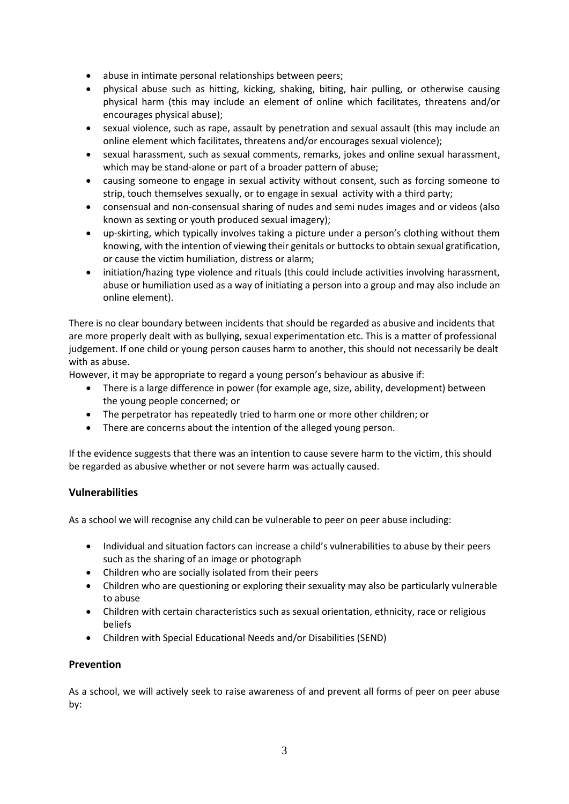- abuse in intimate personal relationships between peers;
- physical abuse such as hitting, kicking, shaking, biting, hair pulling, or otherwise causing physical harm (this may include an element of online which facilitates, threatens and/or encourages physical abuse);
- sexual violence, such as rape, assault by penetration and sexual assault (this may include an online element which facilitates, threatens and/or encourages sexual violence);
- sexual harassment, such as sexual comments, remarks, jokes and online sexual harassment, which may be stand-alone or part of a broader pattern of abuse;
- causing someone to engage in sexual activity without consent, such as forcing someone to strip, touch themselves sexually, or to engage in sexual activity with a third party;
- consensual and non-consensual sharing of nudes and semi nudes images and or videos (also known as sexting or youth produced sexual imagery);
- up-skirting, which typically involves taking a picture under a person's clothing without them knowing, with the intention of viewing their genitals or buttocks to obtain sexual gratification, or cause the victim humiliation, distress or alarm;
- initiation/hazing type violence and rituals (this could include activities involving harassment, abuse or humiliation used as a way of initiating a person into a group and may also include an online element).

There is no clear boundary between incidents that should be regarded as abusive and incidents that are more properly dealt with as bullying, sexual experimentation etc. This is a matter of professional judgement. If one child or young person causes harm to another, this should not necessarily be dealt with as abuse.

However, it may be appropriate to regard a young person's behaviour as abusive if:

- There is a large difference in power (for example age, size, ability, development) between the young people concerned; or
- The perpetrator has repeatedly tried to harm one or more other children; or
- There are concerns about the intention of the alleged young person.

If the evidence suggests that there was an intention to cause severe harm to the victim, this should be regarded as abusive whether or not severe harm was actually caused.

#### **Vulnerabilities**

As a school we will recognise any child can be vulnerable to peer on peer abuse including:

- Individual and situation factors can increase a child's vulnerabilities to abuse by their peers such as the sharing of an image or photograph
- Children who are socially isolated from their peers
- Children who are questioning or exploring their sexuality may also be particularly vulnerable to abuse
- Children with certain characteristics such as sexual orientation, ethnicity, race or religious beliefs
- Children with Special Educational Needs and/or Disabilities (SEND)

#### **Prevention**

As a school, we will actively seek to raise awareness of and prevent all forms of peer on peer abuse by: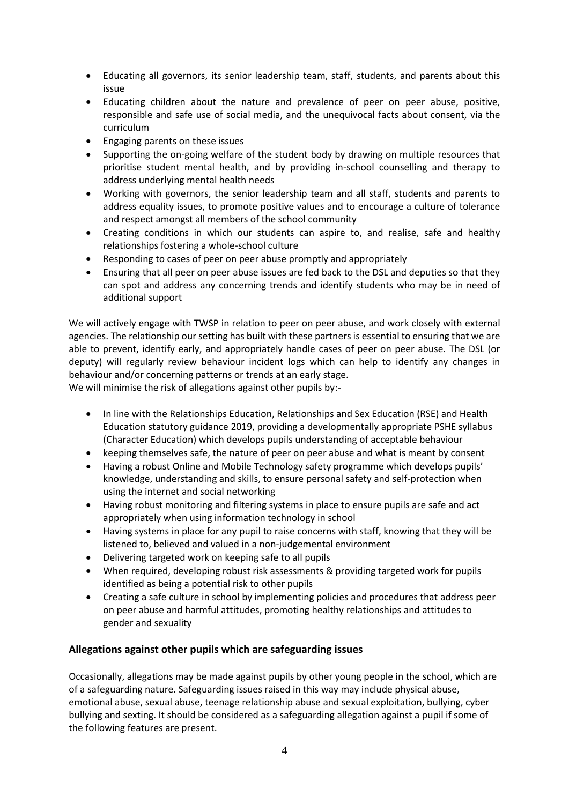- Educating all governors, its senior leadership team, staff, students, and parents about this issue
- Educating children about the nature and prevalence of peer on peer abuse, positive, responsible and safe use of social media, and the unequivocal facts about consent, via the curriculum
- Engaging parents on these issues
- Supporting the on-going welfare of the student body by drawing on multiple resources that prioritise student mental health, and by providing in-school counselling and therapy to address underlying mental health needs
- Working with governors, the senior leadership team and all staff, students and parents to address equality issues, to promote positive values and to encourage a culture of tolerance and respect amongst all members of the school community
- Creating conditions in which our students can aspire to, and realise, safe and healthy relationships fostering a whole-school culture
- Responding to cases of peer on peer abuse promptly and appropriately
- Ensuring that all peer on peer abuse issues are fed back to the DSL and deputies so that they can spot and address any concerning trends and identify students who may be in need of additional support

We will actively engage with TWSP in relation to peer on peer abuse, and work closely with external agencies. The relationship our setting has built with these partners is essential to ensuring that we are able to prevent, identify early, and appropriately handle cases of peer on peer abuse. The DSL (or deputy) will regularly review behaviour incident logs which can help to identify any changes in behaviour and/or concerning patterns or trends at an early stage.

We will minimise the risk of allegations against other pupils by:-

- In line with the Relationships Education, Relationships and Sex Education (RSE) and Health Education statutory guidance 2019, providing a developmentally appropriate PSHE syllabus (Character Education) which develops pupils understanding of acceptable behaviour
- keeping themselves safe, the nature of peer on peer abuse and what is meant by consent
- Having a robust Online and Mobile Technology safety programme which develops pupils' knowledge, understanding and skills, to ensure personal safety and self-protection when using the internet and social networking
- Having robust monitoring and filtering systems in place to ensure pupils are safe and act appropriately when using information technology in school
- Having systems in place for any pupil to raise concerns with staff, knowing that they will be listened to, believed and valued in a non-judgemental environment
- Delivering targeted work on keeping safe to all pupils
- When required, developing robust risk assessments & providing targeted work for pupils identified as being a potential risk to other pupils
- Creating a safe culture in school by implementing policies and procedures that address peer on peer abuse and harmful attitudes, promoting healthy relationships and attitudes to gender and sexuality

#### **Allegations against other pupils which are safeguarding issues**

Occasionally, allegations may be made against pupils by other young people in the school, which are of a safeguarding nature. Safeguarding issues raised in this way may include physical abuse, emotional abuse, sexual abuse, teenage relationship abuse and sexual exploitation, bullying, cyber bullying and sexting. It should be considered as a safeguarding allegation against a pupil if some of the following features are present.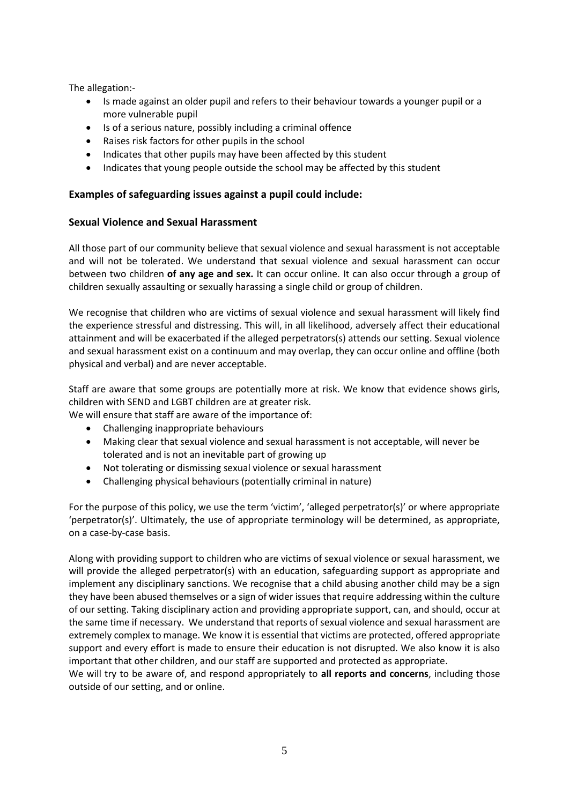The allegation:-

- Is made against an older pupil and refers to their behaviour towards a younger pupil or a more vulnerable pupil
- Is of a serious nature, possibly including a criminal offence
- Raises risk factors for other pupils in the school
- Indicates that other pupils may have been affected by this student
- Indicates that young people outside the school may be affected by this student

#### **Examples of safeguarding issues against a pupil could include:**

#### **Sexual Violence and Sexual Harassment**

All those part of our community believe that sexual violence and sexual harassment is not acceptable and will not be tolerated. We understand that sexual violence and sexual harassment can occur between two children **of any age and sex.** It can occur online. It can also occur through a group of children sexually assaulting or sexually harassing a single child or group of children.

We recognise that children who are victims of sexual violence and sexual harassment will likely find the experience stressful and distressing. This will, in all likelihood, adversely affect their educational attainment and will be exacerbated if the alleged perpetrators(s) attends our setting. Sexual violence and sexual harassment exist on a continuum and may overlap, they can occur online and offline (both physical and verbal) and are never acceptable.

Staff are aware that some groups are potentially more at risk. We know that evidence shows girls, children with SEND and LGBT children are at greater risk.

We will ensure that staff are aware of the importance of:

- Challenging inappropriate behaviours
- Making clear that sexual violence and sexual harassment is not acceptable, will never be tolerated and is not an inevitable part of growing up
- Not tolerating or dismissing sexual violence or sexual harassment
- Challenging physical behaviours (potentially criminal in nature)

For the purpose of this policy, we use the term 'victim', 'alleged perpetrator(s)' or where appropriate 'perpetrator(s)'. Ultimately, the use of appropriate terminology will be determined, as appropriate, on a case-by-case basis.

Along with providing support to children who are victims of sexual violence or sexual harassment, we will provide the alleged perpetrator(s) with an education, safeguarding support as appropriate and implement any disciplinary sanctions. We recognise that a child abusing another child may be a sign they have been abused themselves or a sign of wider issues that require addressing within the culture of our setting. Taking disciplinary action and providing appropriate support, can, and should, occur at the same time if necessary. We understand that reports of sexual violence and sexual harassment are extremely complex to manage. We know it is essential that victims are protected, offered appropriate support and every effort is made to ensure their education is not disrupted. We also know it is also important that other children, and our staff are supported and protected as appropriate.

We will try to be aware of, and respond appropriately to **all reports and concerns**, including those outside of our setting, and or online.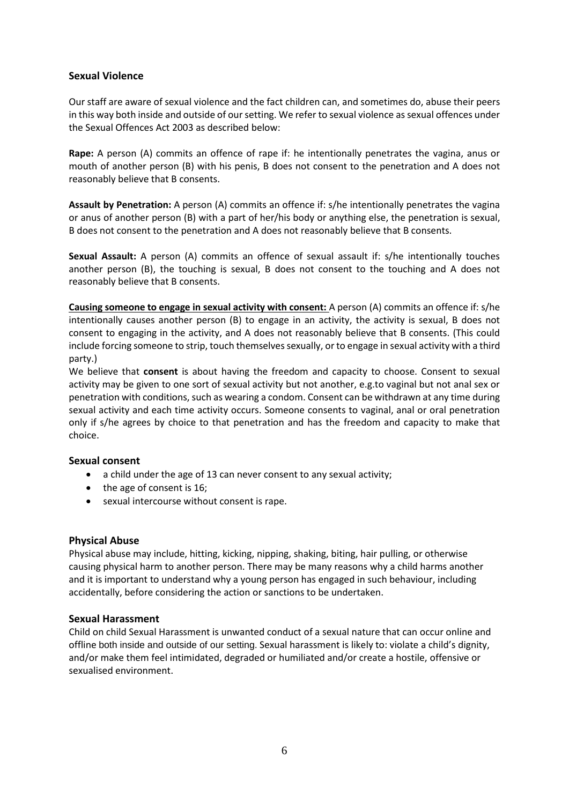#### **Sexual Violence**

Our staff are aware of sexual violence and the fact children can, and sometimes do, abuse their peers in this way both inside and outside of our setting. We refer to sexual violence as sexual offences under the Sexual Offences Act 2003 as described below:

**Rape:** A person (A) commits an offence of rape if: he intentionally penetrates the vagina, anus or mouth of another person (B) with his penis, B does not consent to the penetration and A does not reasonably believe that B consents.

**Assault by Penetration:** A person (A) commits an offence if: s/he intentionally penetrates the vagina or anus of another person (B) with a part of her/his body or anything else, the penetration is sexual, B does not consent to the penetration and A does not reasonably believe that B consents.

**Sexual Assault:** A person (A) commits an offence of sexual assault if: s/he intentionally touches another person (B), the touching is sexual, B does not consent to the touching and A does not reasonably believe that B consents.

**Causing someone to engage in sexual activity with consent:** A person (A) commits an offence if: s/he intentionally causes another person (B) to engage in an activity, the activity is sexual, B does not consent to engaging in the activity, and A does not reasonably believe that B consents. (This could include forcing someone to strip, touch themselves sexually, or to engage in sexual activity with a third party.)

We believe that **consent** is about having the freedom and capacity to choose. Consent to sexual activity may be given to one sort of sexual activity but not another, e.g.to vaginal but not anal sex or penetration with conditions, such as wearing a condom. Consent can be withdrawn at any time during sexual activity and each time activity occurs. Someone consents to vaginal, anal or oral penetration only if s/he agrees by choice to that penetration and has the freedom and capacity to make that choice.

#### **Sexual consent**

- a child under the age of 13 can never consent to any sexual activity;
- the age of consent is 16:
- sexual intercourse without consent is rape.

#### **Physical Abuse**

Physical abuse may include, hitting, kicking, nipping, shaking, biting, hair pulling, or otherwise causing physical harm to another person. There may be many reasons why a child harms another and it is important to understand why a young person has engaged in such behaviour, including accidentally, before considering the action or sanctions to be undertaken.

#### **Sexual Harassment**

Child on child Sexual Harassment is unwanted conduct of a sexual nature that can occur online and offline both inside and outside of our setting. Sexual harassment is likely to: violate a child's dignity, and/or make them feel intimidated, degraded or humiliated and/or create a hostile, offensive or sexualised environment.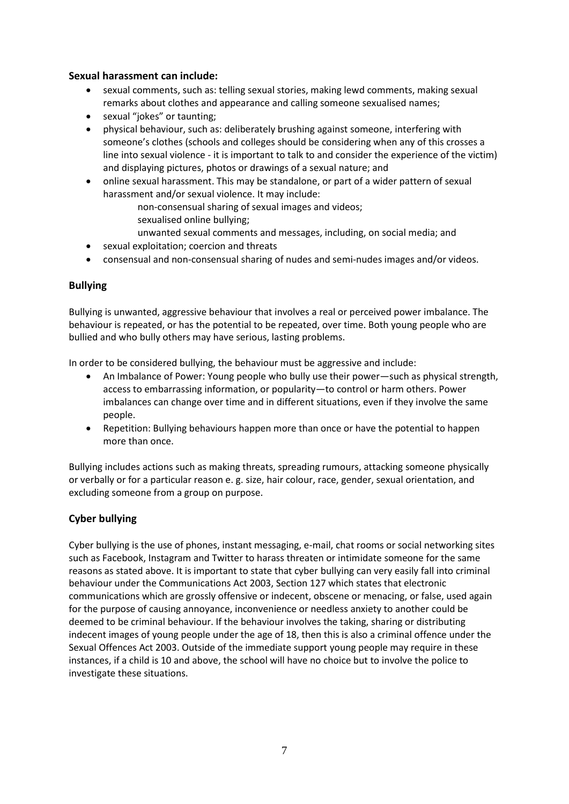#### **Sexual harassment can include:**

- sexual comments, such as: telling sexual stories, making lewd comments, making sexual remarks about clothes and appearance and calling someone sexualised names;
- sexual "jokes" or taunting;
- physical behaviour, such as: deliberately brushing against someone, interfering with someone's clothes (schools and colleges should be considering when any of this crosses a line into sexual violence - it is important to talk to and consider the experience of the victim) and displaying pictures, photos or drawings of a sexual nature; and
- online sexual harassment. This may be standalone, or part of a wider pattern of sexual harassment and/or sexual violence. It may include:
	- non-consensual sharing of sexual images and videos;
	- sexualised online bullying;
	- unwanted sexual comments and messages, including, on social media; and
- sexual exploitation; coercion and threats
- consensual and non-consensual sharing of nudes and semi-nudes images and/or videos.

#### **Bullying**

Bullying is unwanted, aggressive behaviour that involves a real or perceived power imbalance. The behaviour is repeated, or has the potential to be repeated, over time. Both young people who are bullied and who bully others may have serious, lasting problems.

In order to be considered bullying, the behaviour must be aggressive and include:

- An Imbalance of Power: Young people who bully use their power—such as physical strength, access to embarrassing information, or popularity—to control or harm others. Power imbalances can change over time and in different situations, even if they involve the same people.
- Repetition: Bullying behaviours happen more than once or have the potential to happen more than once.

Bullying includes actions such as making threats, spreading rumours, attacking someone physically or verbally or for a particular reason e. g. size, hair colour, race, gender, sexual orientation, and excluding someone from a group on purpose.

#### **Cyber bullying**

Cyber bullying is the use of phones, instant messaging, e-mail, chat rooms or social networking sites such as Facebook, Instagram and Twitter to harass threaten or intimidate someone for the same reasons as stated above. It is important to state that cyber bullying can very easily fall into criminal behaviour under the Communications Act 2003, Section 127 which states that electronic communications which are grossly offensive or indecent, obscene or menacing, or false, used again for the purpose of causing annoyance, inconvenience or needless anxiety to another could be deemed to be criminal behaviour. If the behaviour involves the taking, sharing or distributing indecent images of young people under the age of 18, then this is also a criminal offence under the Sexual Offences Act 2003. Outside of the immediate support young people may require in these instances, if a child is 10 and above, the school will have no choice but to involve the police to investigate these situations.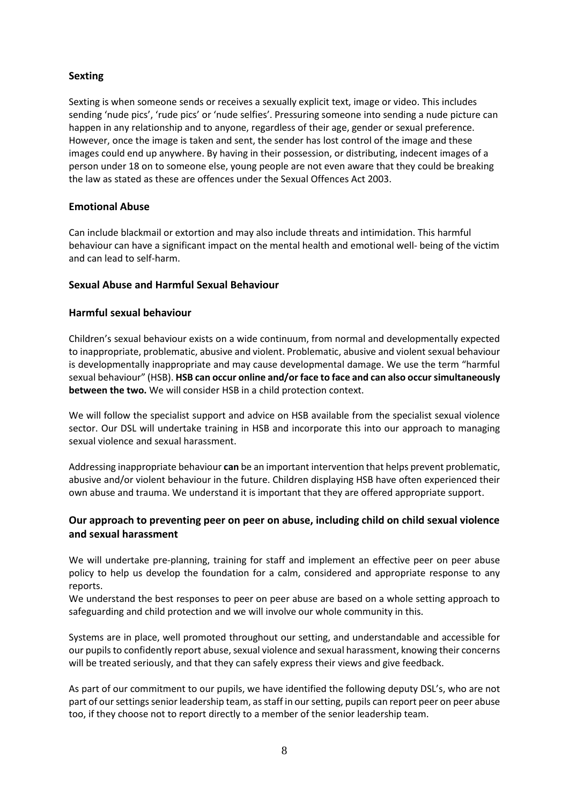#### **Sexting**

Sexting is when someone sends or receives a sexually explicit text, image or video. This includes sending 'nude pics', 'rude pics' or 'nude selfies'. Pressuring someone into sending a nude picture can happen in any relationship and to anyone, regardless of their age, gender or sexual preference. However, once the image is taken and sent, the sender has lost control of the image and these images could end up anywhere. By having in their possession, or distributing, indecent images of a person under 18 on to someone else, young people are not even aware that they could be breaking the law as stated as these are offences under the Sexual Offences Act 2003.

#### **Emotional Abuse**

Can include blackmail or extortion and may also include threats and intimidation. This harmful behaviour can have a significant impact on the mental health and emotional well- being of the victim and can lead to self-harm.

#### **Sexual Abuse and Harmful Sexual Behaviour**

#### **Harmful sexual behaviour**

Children's sexual behaviour exists on a wide continuum, from normal and developmentally expected to inappropriate, problematic, abusive and violent. Problematic, abusive and violent sexual behaviour is developmentally inappropriate and may cause developmental damage. We use the term "harmful sexual behaviour" (HSB). **HSB can occur online and/or face to face and can also occur simultaneously between the two.** We will consider HSB in a child protection context.

We will follow the specialist support and advice on HSB available from the specialist sexual violence sector. Our DSL will undertake training in HSB and incorporate this into our approach to managing sexual violence and sexual harassment.

Addressing inappropriate behaviour **can** be an important intervention that helps prevent problematic, abusive and/or violent behaviour in the future. Children displaying HSB have often experienced their own abuse and trauma. We understand it is important that they are offered appropriate support.

#### **Our approach to preventing peer on peer on abuse, including child on child sexual violence and sexual harassment**

We will undertake pre-planning, training for staff and implement an effective peer on peer abuse policy to help us develop the foundation for a calm, considered and appropriate response to any reports.

We understand the best responses to peer on peer abuse are based on a whole setting approach to safeguarding and child protection and we will involve our whole community in this.

Systems are in place, well promoted throughout our setting, and understandable and accessible for our pupils to confidently report abuse, sexual violence and sexual harassment, knowing their concerns will be treated seriously, and that they can safely express their views and give feedback.

As part of our commitment to our pupils, we have identified the following deputy DSL's, who are not part of our settings senior leadership team, as staff in our setting, pupils can report peer on peer abuse too, if they choose not to report directly to a member of the senior leadership team.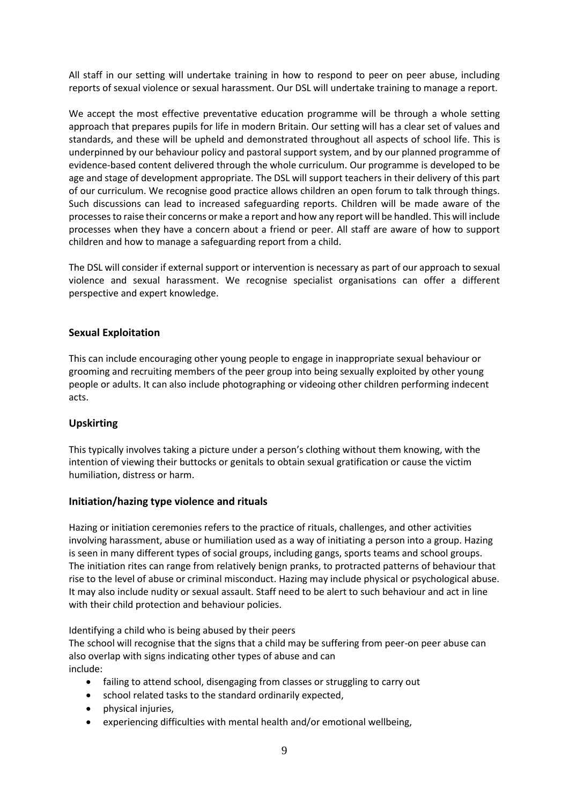All staff in our setting will undertake training in how to respond to peer on peer abuse, including reports of sexual violence or sexual harassment. Our DSL will undertake training to manage a report.

We accept the most effective preventative education programme will be through a whole setting approach that prepares pupils for life in modern Britain. Our setting will has a clear set of values and standards, and these will be upheld and demonstrated throughout all aspects of school life. This is underpinned by our behaviour policy and pastoral support system, and by our planned programme of evidence-based content delivered through the whole curriculum. Our programme is developed to be age and stage of development appropriate. The DSL will support teachers in their delivery of this part of our curriculum. We recognise good practice allows children an open forum to talk through things. Such discussions can lead to increased safeguarding reports. Children will be made aware of the processes to raise their concerns or make a report and how any report will be handled. This will include processes when they have a concern about a friend or peer. All staff are aware of how to support children and how to manage a safeguarding report from a child.

The DSL will consider if external support or intervention is necessary as part of our approach to sexual violence and sexual harassment. We recognise specialist organisations can offer a different perspective and expert knowledge.

#### **Sexual Exploitation**

This can include encouraging other young people to engage in inappropriate sexual behaviour or grooming and recruiting members of the peer group into being sexually exploited by other young people or adults. It can also include photographing or videoing other children performing indecent acts.

#### **Upskirting**

This typically involves taking a picture under a person's clothing without them knowing, with the intention of viewing their buttocks or genitals to obtain sexual gratification or cause the victim humiliation, distress or harm.

#### **Initiation/hazing type violence and rituals**

Hazing or initiation ceremonies refers to the practice of rituals, challenges, and other activities involving harassment, abuse or humiliation used as a way of initiating a person into a group. Hazing is seen in many different types of social groups, including gangs, sports teams and school groups. The initiation rites can range from relatively benign pranks, to protracted patterns of behaviour that rise to the level of abuse or criminal misconduct. Hazing may include physical or psychological abuse. It may also include nudity or sexual assault. Staff need to be alert to such behaviour and act in line with their child protection and behaviour policies.

Identifying a child who is being abused by their peers

The school will recognise that the signs that a child may be suffering from peer-on peer abuse can also overlap with signs indicating other types of abuse and can include:

- failing to attend school, disengaging from classes or struggling to carry out
- school related tasks to the standard ordinarily expected,
- physical injuries,
- experiencing difficulties with mental health and/or emotional wellbeing,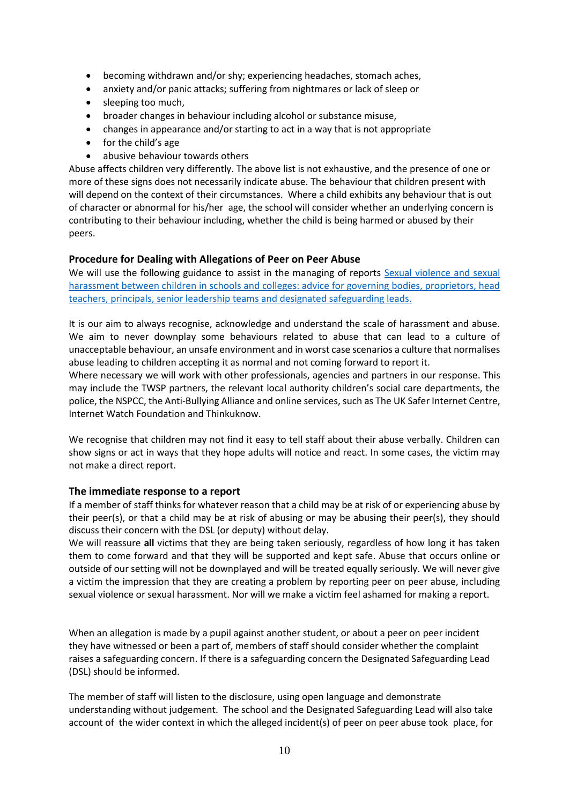- becoming withdrawn and/or shy; experiencing headaches, stomach aches,
- anxiety and/or panic attacks; suffering from nightmares or lack of sleep or
- sleeping too much,
- broader changes in behaviour including alcohol or substance misuse,
- changes in appearance and/or starting to act in a way that is not appropriate
- for the child's age
- abusive behaviour towards others

Abuse affects children very differently. The above list is not exhaustive, and the presence of one or more of these signs does not necessarily indicate abuse. The behaviour that children present with will depend on the context of their circumstances. Where a child exhibits any behaviour that is out of character or abnormal for his/her age, the school will consider whether an underlying concern is contributing to their behaviour including, whether the child is being harmed or abused by their peers.

#### **Procedure for Dealing with Allegations of Peer on Peer Abuse**

We will use the following guidance to assist in the managing of reports Sexual violence and sexual [harassment between children in schools and colleges: advice for governing bodies, proprietors, head](https://www.gov.uk/government/publications/sexual-violence-and-sexual-harassment-between-children-in-schools-and-colleges)  [teachers, principals, senior leadership teams and designated safeguarding leads.](https://www.gov.uk/government/publications/sexual-violence-and-sexual-harassment-between-children-in-schools-and-colleges)

It is our aim to always recognise, acknowledge and understand the scale of harassment and abuse. We aim to never downplay some behaviours related to abuse that can lead to a culture of unacceptable behaviour, an unsafe environment and in worst case scenarios a culture that normalises abuse leading to children accepting it as normal and not coming forward to report it.

Where necessary we will work with other professionals, agencies and partners in our response. This may include the TWSP partners, the relevant local authority children's social care departments, the police, the NSPCC, the Anti-Bullying Alliance and online services, such as The UK Safer Internet Centre, Internet Watch Foundation and Thinkuknow.

We recognise that children may not find it easy to tell staff about their abuse verbally. Children can show signs or act in ways that they hope adults will notice and react. In some cases, the victim may not make a direct report.

#### **The immediate response to a report**

If a member of staff thinks for whatever reason that a child may be at risk of or experiencing abuse by their peer(s), or that a child may be at risk of abusing or may be abusing their peer(s), they should discuss their concern with the DSL (or deputy) without delay.

We will reassure **all** victims that they are being taken seriously, regardless of how long it has taken them to come forward and that they will be supported and kept safe. Abuse that occurs online or outside of our setting will not be downplayed and will be treated equally seriously. We will never give a victim the impression that they are creating a problem by reporting peer on peer abuse, including sexual violence or sexual harassment. Nor will we make a victim feel ashamed for making a report.

When an allegation is made by a pupil against another student, or about a peer on peer incident they have witnessed or been a part of, members of staff should consider whether the complaint raises a safeguarding concern. If there is a safeguarding concern the Designated Safeguarding Lead (DSL) should be informed.

The member of staff will listen to the disclosure, using open language and demonstrate understanding without judgement. The school and the Designated Safeguarding Lead will also take account of the wider context in which the alleged incident(s) of peer on peer abuse took place, for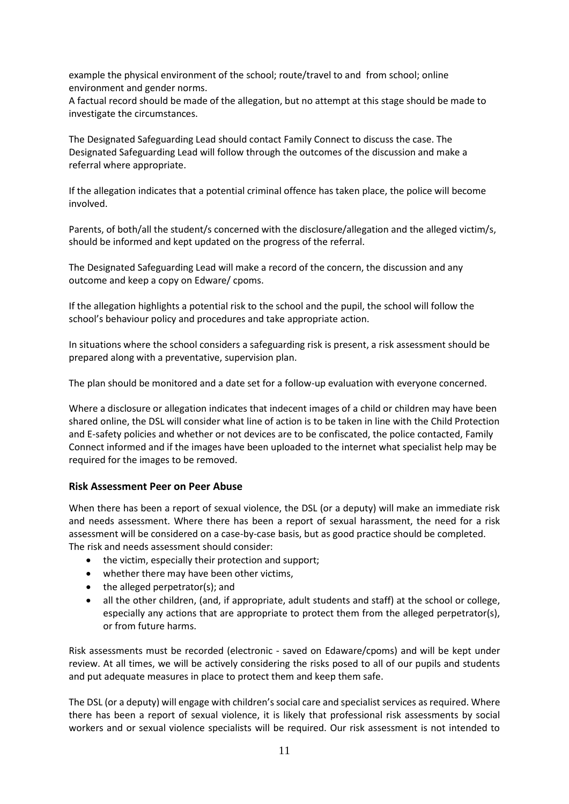example the physical environment of the school; route/travel to and from school; online environment and gender norms.

A factual record should be made of the allegation, but no attempt at this stage should be made to investigate the circumstances.

The Designated Safeguarding Lead should contact Family Connect to discuss the case. The Designated Safeguarding Lead will follow through the outcomes of the discussion and make a referral where appropriate.

If the allegation indicates that a potential criminal offence has taken place, the police will become involved.

Parents, of both/all the student/s concerned with the disclosure/allegation and the alleged victim/s, should be informed and kept updated on the progress of the referral.

The Designated Safeguarding Lead will make a record of the concern, the discussion and any outcome and keep a copy on Edware/ cpoms.

If the allegation highlights a potential risk to the school and the pupil, the school will follow the school's behaviour policy and procedures and take appropriate action.

In situations where the school considers a safeguarding risk is present, a risk assessment should be prepared along with a preventative, supervision plan.

The plan should be monitored and a date set for a follow-up evaluation with everyone concerned.

Where a disclosure or allegation indicates that indecent images of a child or children may have been shared online, the DSL will consider what line of action is to be taken in line with the Child Protection and E-safety policies and whether or not devices are to be confiscated, the police contacted, Family Connect informed and if the images have been uploaded to the internet what specialist help may be required for the images to be removed.

#### **Risk Assessment Peer on Peer Abuse**

When there has been a report of sexual violence, the DSL (or a deputy) will make an immediate risk and needs assessment. Where there has been a report of sexual harassment, the need for a risk assessment will be considered on a case-by-case basis, but as good practice should be completed. The risk and needs assessment should consider:

- the victim, especially their protection and support;
- whether there may have been other victims,
- the alleged perpetrator(s); and
- all the other children, (and, if appropriate, adult students and staff) at the school or college, especially any actions that are appropriate to protect them from the alleged perpetrator(s), or from future harms.

Risk assessments must be recorded (electronic - saved on Edaware/cpoms) and will be kept under review. At all times, we will be actively considering the risks posed to all of our pupils and students and put adequate measures in place to protect them and keep them safe.

The DSL (or a deputy) will engage with children's social care and specialist services as required. Where there has been a report of sexual violence, it is likely that professional risk assessments by social workers and or sexual violence specialists will be required. Our risk assessment is not intended to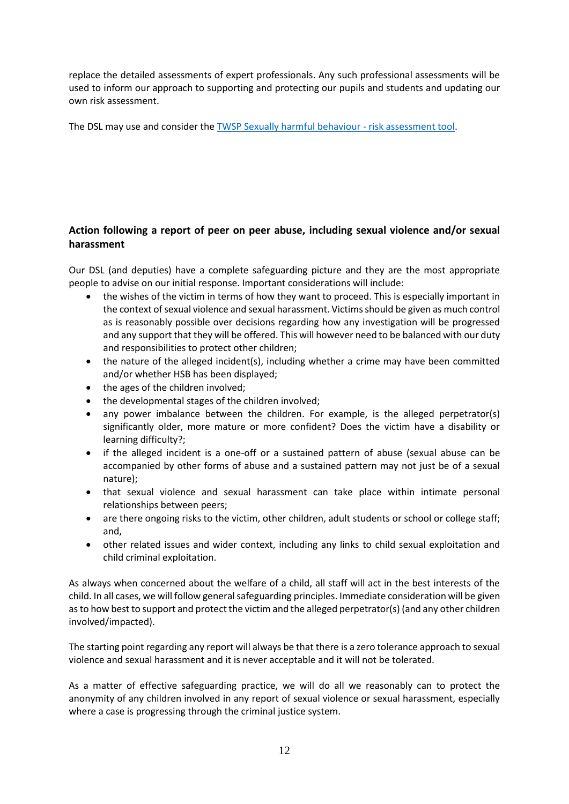replace the detailed assessments of expert professionals. Any such professional assessments will be used to inform our approach to supporting and protecting our pupils and students and updating our own risk assessment.

The DSL may use and consider the [TWSP Sexually harmful behaviour -](http://www.telfordsafeguardingboard.org.uk/lscb/downloads/file/38/sexually_harmful_behaviour_-_risk_assessment_tool) risk assessment tool.

#### **Action following a report of peer on peer abuse, including sexual violence and/or sexual harassment**

Our DSL (and deputies) have a complete safeguarding picture and they are the most appropriate people to advise on our initial response. Important considerations will include:

- the wishes of the victim in terms of how they want to proceed. This is especially important in the context of sexual violence and sexual harassment. Victims should be given as much control as is reasonably possible over decisions regarding how any investigation will be progressed and any support that they will be offered. This will however need to be balanced with our duty and responsibilities to protect other children;
- the nature of the alleged incident(s), including whether a crime may have been committed and/or whether HSB has been displayed;
- the ages of the children involved;
- the developmental stages of the children involved;
- any power imbalance between the children. For example, is the alleged perpetrator(s) significantly older, more mature or more confident? Does the victim have a disability or learning difficulty?;
- if the alleged incident is a one-off or a sustained pattern of abuse (sexual abuse can be accompanied by other forms of abuse and a sustained pattern may not just be of a sexual nature);
- that sexual violence and sexual harassment can take place within intimate personal relationships between peers;
- are there ongoing risks to the victim, other children, adult students or school or college staff; and,
- other related issues and wider context, including any links to child sexual exploitation and child criminal exploitation.

As always when concerned about the welfare of a child, all staff will act in the best interests of the child. In all cases, we will follow general safeguarding principles. Immediate consideration will be given as to how best to support and protect the victim and the alleged perpetrator(s) (and any other children involved/impacted).

The starting point regarding any report will always be that there is a zero tolerance approach to sexual violence and sexual harassment and it is never acceptable and it will not be tolerated.

As a matter of effective safeguarding practice, we will do all we reasonably can to protect the anonymity of any children involved in any report of sexual violence or sexual harassment, especially where a case is progressing through the criminal justice system.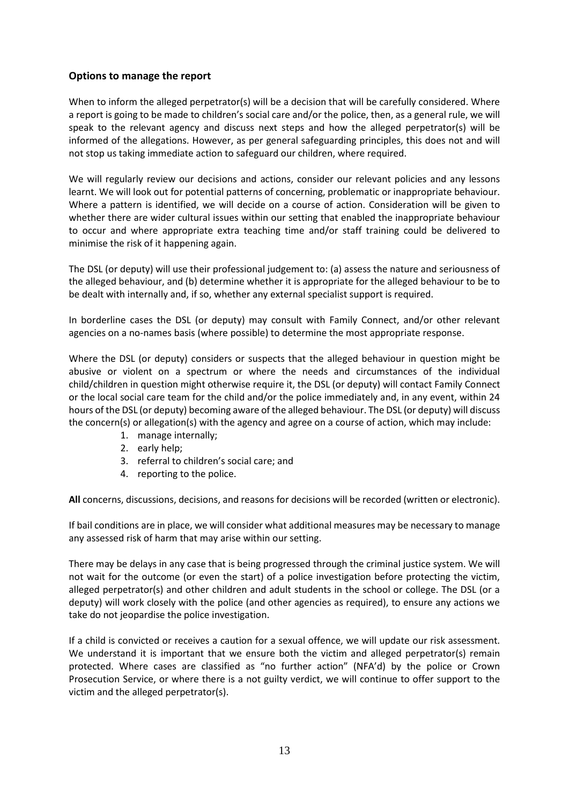#### **Options to manage the report**

When to inform the alleged perpetrator(s) will be a decision that will be carefully considered. Where a report is going to be made to children's social care and/or the police, then, as a general rule, we will speak to the relevant agency and discuss next steps and how the alleged perpetrator(s) will be informed of the allegations. However, as per general safeguarding principles, this does not and will not stop us taking immediate action to safeguard our children, where required.

We will regularly review our decisions and actions, consider our relevant policies and any lessons learnt. We will look out for potential patterns of concerning, problematic or inappropriate behaviour. Where a pattern is identified, we will decide on a course of action. Consideration will be given to whether there are wider cultural issues within our setting that enabled the inappropriate behaviour to occur and where appropriate extra teaching time and/or staff training could be delivered to minimise the risk of it happening again.

The DSL (or deputy) will use their professional judgement to: (a) assess the nature and seriousness of the alleged behaviour, and (b) determine whether it is appropriate for the alleged behaviour to be to be dealt with internally and, if so, whether any external specialist support is required.

In borderline cases the DSL (or deputy) may consult with Family Connect, and/or other relevant agencies on a no-names basis (where possible) to determine the most appropriate response.

Where the DSL (or deputy) considers or suspects that the alleged behaviour in question might be abusive or violent on a spectrum or where the needs and circumstances of the individual child/children in question might otherwise require it, the DSL (or deputy) will contact Family Connect or the local social care team for the child and/or the police immediately and, in any event, within 24 hours of the DSL (or deputy) becoming aware of the alleged behaviour. The DSL (or deputy) will discuss the concern(s) or allegation(s) with the agency and agree on a course of action, which may include:

- 1. manage internally;
- 2. early help;
- 3. referral to children's social care; and
- 4. reporting to the police.

**All** concerns, discussions, decisions, and reasons for decisions will be recorded (written or electronic).

If bail conditions are in place, we will consider what additional measures may be necessary to manage any assessed risk of harm that may arise within our setting.

There may be delays in any case that is being progressed through the criminal justice system. We will not wait for the outcome (or even the start) of a police investigation before protecting the victim, alleged perpetrator(s) and other children and adult students in the school or college. The DSL (or a deputy) will work closely with the police (and other agencies as required), to ensure any actions we take do not jeopardise the police investigation.

If a child is convicted or receives a caution for a sexual offence, we will update our risk assessment. We understand it is important that we ensure both the victim and alleged perpetrator(s) remain protected. Where cases are classified as "no further action" (NFA'd) by the police or Crown Prosecution Service, or where there is a not guilty verdict, we will continue to offer support to the victim and the alleged perpetrator(s).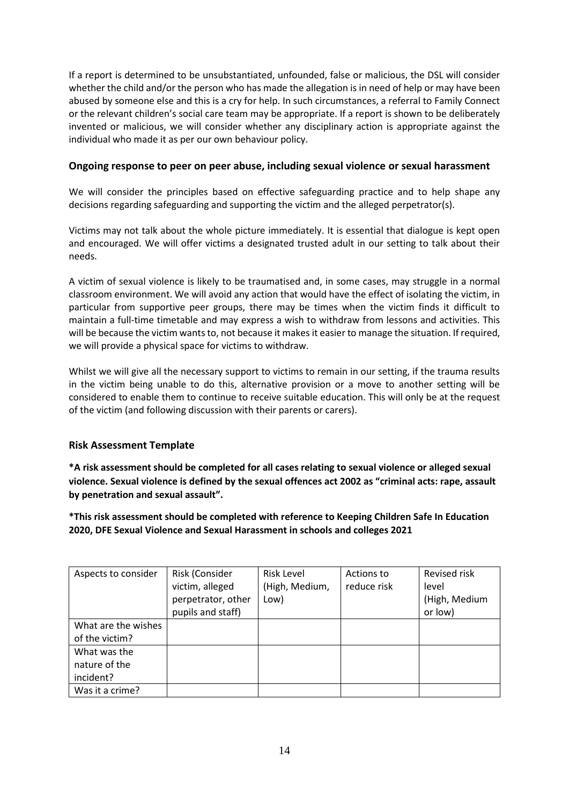If a report is determined to be unsubstantiated, unfounded, false or malicious, the DSL will consider whether the child and/or the person who has made the allegation is in need of help or may have been abused by someone else and this is a cry for help. In such circumstances, a referral to Family Connect or the relevant children's social care team may be appropriate. If a report is shown to be deliberately invented or malicious, we will consider whether any disciplinary action is appropriate against the individual who made it as per our own behaviour policy.

#### **Ongoing response to peer on peer abuse, including sexual violence or sexual harassment**

We will consider the principles based on effective safeguarding practice and to help shape any decisions regarding safeguarding and supporting the victim and the alleged perpetrator(s).

Victims may not talk about the whole picture immediately. It is essential that dialogue is kept open and encouraged. We will offer victims a designated trusted adult in our setting to talk about their needs.

A victim of sexual violence is likely to be traumatised and, in some cases, may struggle in a normal classroom environment. We will avoid any action that would have the effect of isolating the victim, in particular from supportive peer groups, there may be times when the victim finds it difficult to maintain a full-time timetable and may express a wish to withdraw from lessons and activities. This will be because the victim wants to, not because it makes it easier to manage the situation. If required, we will provide a physical space for victims to withdraw.

Whilst we will give all the necessary support to victims to remain in our setting, if the trauma results in the victim being unable to do this, alternative provision or a move to another setting will be considered to enable them to continue to receive suitable education. This will only be at the request of the victim (and following discussion with their parents or carers).

#### **Risk Assessment Template**

**\*A risk assessment should be completed for all cases relating to sexual violence or alleged sexual violence. Sexual violence is defined by the sexual offences act 2002 as "criminal acts: rape, assault by penetration and sexual assault".** 

**\*This risk assessment should be completed with reference to Keeping Children Safe In Education 2020, DFE Sexual Violence and Sexual Harassment in schools and colleges 2021**

| Aspects to consider | Risk (Consider     | <b>Risk Level</b> | Actions to  | Revised risk  |
|---------------------|--------------------|-------------------|-------------|---------------|
|                     | victim, alleged    | (High, Medium,    | reduce risk | level         |
|                     | perpetrator, other | Low)              |             | (High, Medium |
|                     | pupils and staff)  |                   |             | or low)       |
| What are the wishes |                    |                   |             |               |
| of the victim?      |                    |                   |             |               |
| What was the        |                    |                   |             |               |
| nature of the       |                    |                   |             |               |
| incident?           |                    |                   |             |               |
| Was it a crime?     |                    |                   |             |               |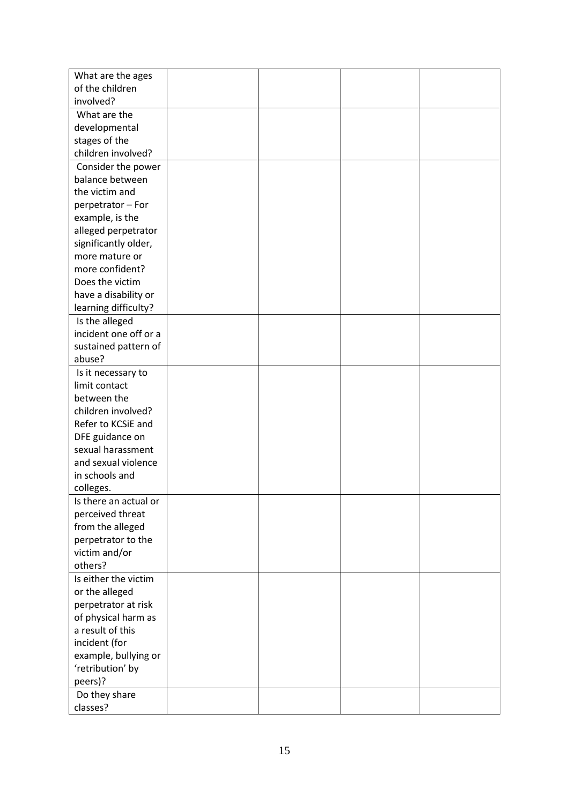| What are the ages     |  |  |
|-----------------------|--|--|
| of the children       |  |  |
|                       |  |  |
| involved?             |  |  |
| What are the          |  |  |
| developmental         |  |  |
| stages of the         |  |  |
| children involved?    |  |  |
| Consider the power    |  |  |
| balance between       |  |  |
| the victim and        |  |  |
| perpetrator - For     |  |  |
| example, is the       |  |  |
| alleged perpetrator   |  |  |
| significantly older,  |  |  |
| more mature or        |  |  |
| more confident?       |  |  |
| Does the victim       |  |  |
| have a disability or  |  |  |
| learning difficulty?  |  |  |
| Is the alleged        |  |  |
| incident one off or a |  |  |
| sustained pattern of  |  |  |
| abuse?                |  |  |
| Is it necessary to    |  |  |
| limit contact         |  |  |
| between the           |  |  |
| children involved?    |  |  |
| Refer to KCSiE and    |  |  |
| DFE guidance on       |  |  |
| sexual harassment     |  |  |
| and sexual violence   |  |  |
| in schools and        |  |  |
| colleges.             |  |  |
| Is there an actual or |  |  |
| perceived threat      |  |  |
| from the alleged      |  |  |
| perpetrator to the    |  |  |
| victim and/or         |  |  |
| others?               |  |  |
| Is either the victim  |  |  |
| or the alleged        |  |  |
| perpetrator at risk   |  |  |
| of physical harm as   |  |  |
| a result of this      |  |  |
| incident (for         |  |  |
| example, bullying or  |  |  |
| 'retribution' by      |  |  |
| peers)?               |  |  |
| Do they share         |  |  |
| classes?              |  |  |
|                       |  |  |